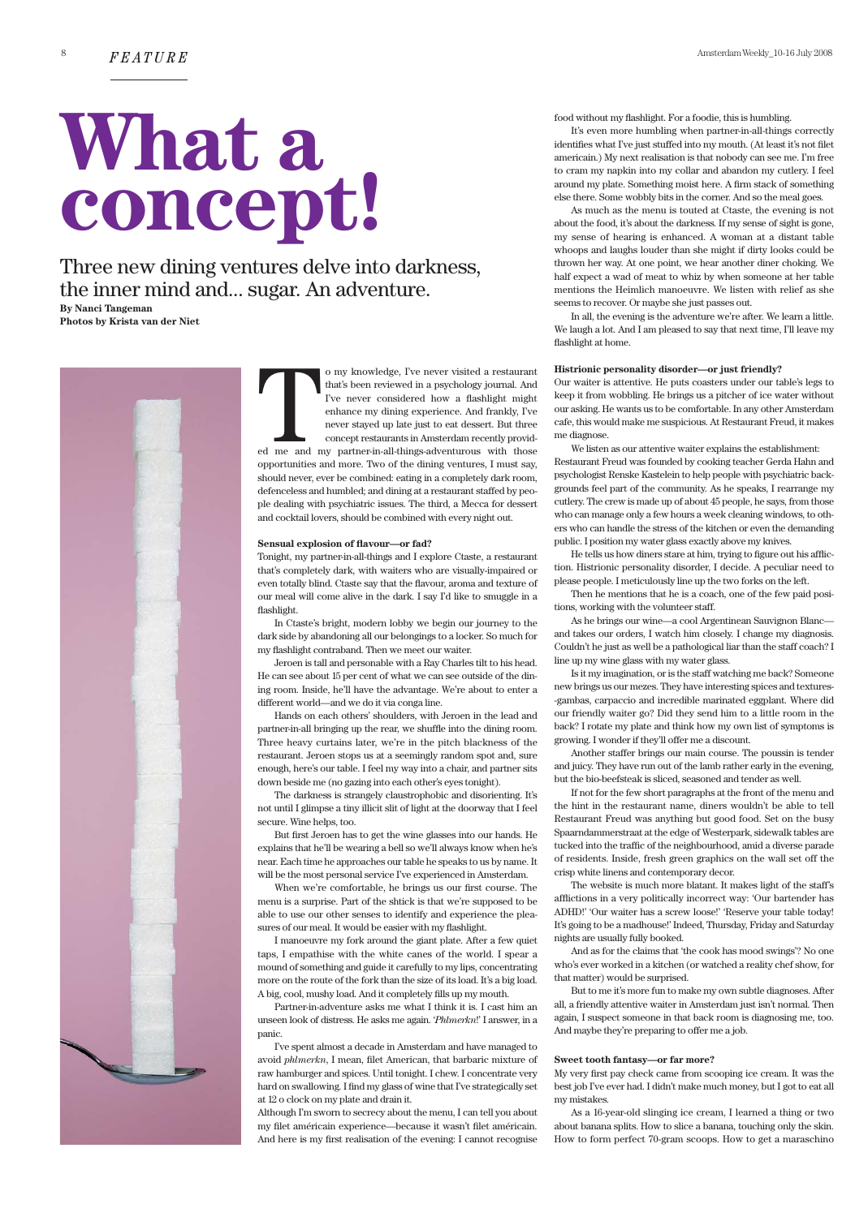# **What a concept!**

Three new dining ventures delve into darkness, the inner mind and... sugar. An adventure. **By Nanci Tangeman** 

**Photos by Krista van der Niet**

o my knowledge, I've never visited a restaurant that's been reviewed in a psychology journal. And I've never considered how a flashlight might enhance my dining experience. And frankly, I've never stayed up late just to eat dessert. But three concept restaurants in Amsterdam recently provided me and my partner-in-all-things-adventurous with those opportunities and more. Two of the dining ventures, I must say, should never, ever be combined: eating in a completely dark room, defenceless and humbled; and dining at a restaurant staffed by people dealing with psychiatric issues. The third, a Mecca for dessert and cocktail lovers, should be combined with every night out. Example 11

# **Sensual explosion of flavour—or fad?**

Tonight, my partner-in-all-things and I explore Ctaste, a restaurant that's completely dark, with waiters who are visually-impaired or even totally blind. Ctaste say that the flavour, aroma and texture of our meal will come alive in the dark. I say I'd like to smuggle in a flashlight.

In Ctaste's bright, modern lobby we begin our journey to the dark side by abandoning all our belongings to a locker. So much for my flashlight contraband. Then we meet our waiter.

Jeroen is tall and personable with a Ray Charles tilt to his head. He can see about 15 per cent of what we can see outside of the dining room. Inside, he'll have the advantage. We're about to enter a different world—and we do it via conga line.

Hands on each others' shoulders, with Jeroen in the lead and partner-in-all bringing up the rear, we shuffle into the dining room. Three heavy curtains later, we're in the pitch blackness of the restaurant. Jeroen stops us at a seemingly random spot and, sure enough, here's our table. I feel my way into a chair, and partner sits down beside me (no gazing into each other's eyes tonight).

The darkness is strangely claustrophobic and disorienting. It's not until I glimpse a tiny illicit slit of light at the doorway that I feel secure. Wine helps, too.

But first Jeroen has to get the wine glasses into our hands. He explains that he'll be wearing a bell so we'll always know when he's near. Each time he approaches our table he speaks to us by name. It will be the most personal service I've experienced in Amsterdam.

When we're comfortable, he brings us our first course. The menu is a surprise. Part of the shtick is that we're supposed to be able to use our other senses to identify and experience the pleasures of our meal. It would be easier with my flashlight.

I manoeuvre my fork around the giant plate. After a few quiet taps, I empathise with the white canes of the world. I spear a mound of something and guide it carefully to my lips, concentrating more on the route of the fork than the size of its load. It's a big load. A big, cool, mushy load. And it completely fills up my mouth.

Partner-in-adventure asks me what I think it is. I cast him an unseen look of distress. He asks me again. '*Phlmerkn*!' I answer, in a panic.

I've spent almost a decade in Amsterdam and have managed to avoid *phlmerkn*, I mean, filet American, that barbaric mixture of raw hamburger and spices. Until tonight. I chew. I concentrate very hard on swallowing. I find my glass of wine that I've strategically set at 12 o clock on my plate and drain it.

Although I'm sworn to secrecy about the menu, I can tell you about my filet américain experience—because it wasn't filet américain. And here is my first realisation of the evening: I cannot recognise food without my flashlight. For a foodie, this is humbling.

It's even more humbling when partner-in-all-things correctly identifies what I've just stuffed into my mouth. (At least it's not filet americain.) My next realisation is that nobody can see me. I'm free to cram my napkin into my collar and abandon my cutlery. I feel around my plate. Something moist here. A firm stack of something else there. Some wobbly bits in the corner. And so the meal goes.

As much as the menu is touted at Ctaste, the evening is not about the food, it's about the darkness. If my sense of sight is gone, my sense of hearing is enhanced. A woman at a distant table whoops and laughs louder than she might if dirty looks could be thrown her way. At one point, we hear another diner choking. We half expect a wad of meat to whiz by when someone at her table mentions the Heimlich manoeuvre. We listen with relief as she seems to recover. Or maybe she just passes out.

In all, the evening is the adventure we're after. We learn a little. We laugh a lot. And I am pleased to say that next time, I'll leave my flashlight at home.

# **Histrionic personality disorder—or just friendly?**

Our waiter is attentive. He puts coasters under our table's legs to keep it from wobbling. He brings us a pitcher of ice water without our asking. He wants us to be comfortable. In any other Amsterdam cafe, this would make me suspicious. At Restaurant Freud, it makes me diagnose.

We listen as our attentive waiter explains the establishment: Restaurant Freud was founded by cooking teacher Gerda Hahn and psychologist Renske Kastelein to help people with psychiatric backgrounds feel part of the community. As he speaks, I rearrange my cutlery. The crew is made up of about 45 people, he says, from those who can manage only a few hours a week cleaning windows, to others who can handle the stress of the kitchen or even the demanding public. I position my water glass exactly above my knives.

He tells us how diners stare at him, trying to figure out his affliction. Histrionic personality disorder, I decide. A peculiar need to please people. I meticulously line up the two forks on the left.

Then he mentions that he is a coach, one of the few paid positions, working with the volunteer staff.

As he brings our wine—a cool Argentinean Sauvignon Blanc and takes our orders, I watch him closely. I change my diagnosis. Couldn't he just as well be a pathological liar than the staff coach? I line up my wine glass with my water glass.

Is it my imagination, or is the staff watching me back? Someone new brings us our mezes. They have interesting spices and textures- -gambas, carpaccio and incredible marinated eggplant. Where did our friendly waiter go? Did they send him to a little room in the back? I rotate my plate and think how my own list of symptoms is growing. I wonder if they'll offer me a discount.

Another staffer brings our main course. The poussin is tender and juicy. They have run out of the lamb rather early in the evening, but the bio-beefsteak is sliced, seasoned and tender as well.

If not for the few short paragraphs at the front of the menu and the hint in the restaurant name, diners wouldn't be able to tell Restaurant Freud was anything but good food. Set on the busy Spaarndammerstraat at the edge of Westerpark, sidewalk tables are tucked into the traffic of the neighbourhood, amid a diverse parade of residents. Inside, fresh green graphics on the wall set off the crisp white linens and contemporary decor.

The website is much more blatant. It makes light of the staff's afflictions in a very politically incorrect way: 'Our bartender has ADHD!' 'Our waiter has a screw loose!' 'Reserve your table today! It's going to be a madhouse!' Indeed, Thursday, Friday and Saturday nights are usually fully booked.

And as for the claims that 'the cook has mood swings'? No one who's ever worked in a kitchen (or watched a reality chef show, for that matter) would be surprised.

But to me it's more fun to make my own subtle diagnoses. After all, a friendly attentive waiter in Amsterdam just isn't normal. Then again, I suspect someone in that back room is diagnosing me, too. And maybe they're preparing to offer me a job.

### **Sweet tooth fantasy—or far more?**

My very first pay check came from scooping ice cream. It was the best job I've ever had. I didn't make much money, but I got to eat all my mistakes.

As a 16-year-old slinging ice cream, I learned a thing or two about banana splits. How to slice a banana, touching only the skin. How to form perfect 70-gram scoops. How to get a maraschino